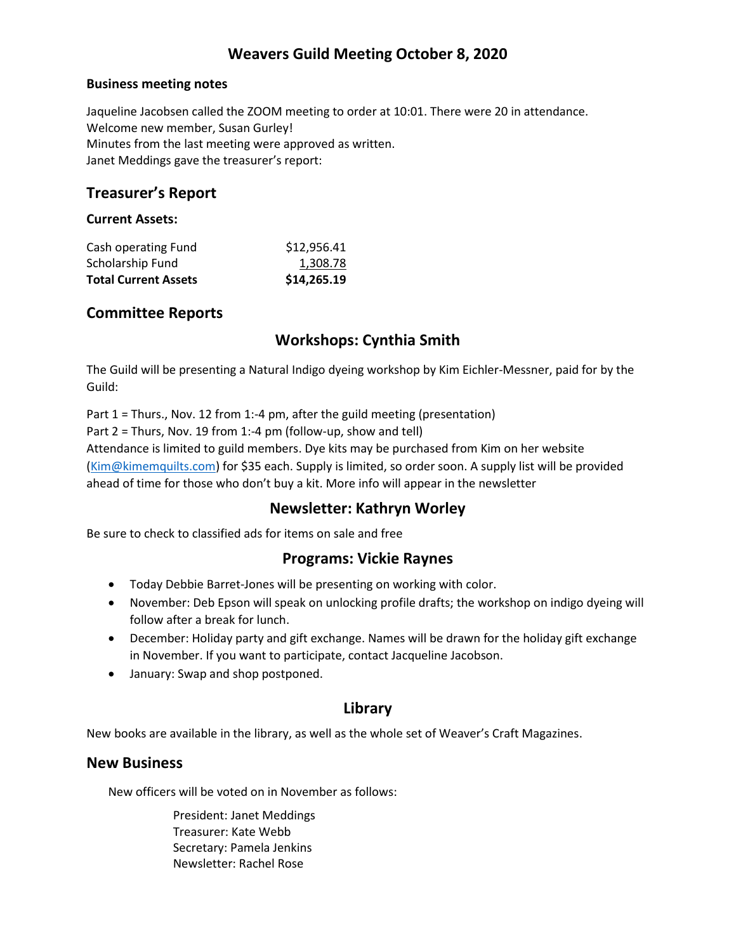# **Weavers Guild Meeting October 8, 2020**

#### **Business meeting notes**

Jaqueline Jacobsen called the ZOOM meeting to order at 10:01. There were 20 in attendance. Welcome new member, Susan Gurley! Minutes from the last meeting were approved as written. Janet Meddings gave the treasurer's report:

## **Treasurer's Report**

#### **Current Assets:**

| <b>Total Current Assets</b> | \$14,265.19 |
|-----------------------------|-------------|
| Scholarship Fund            | 1,308.78    |
| Cash operating Fund         | \$12,956.41 |

## **Committee Reports**

# **Workshops: Cynthia Smith**

The Guild will be presenting a Natural Indigo dyeing workshop by Kim Eichler-Messner, paid for by the Guild:

Part 1 = Thurs., Nov. 12 from 1:-4 pm, after the guild meeting (presentation)

Part  $2 =$  Thurs, Nov. 19 from 1:-4 pm (follow-up, show and tell)

Attendance is limited to guild members. Dye kits may be purchased from Kim on her website [\(Kim@kimemquilts.com\)](mailto:Kim@kimemquilts.com) for \$35 each. Supply is limited, so order soon. A supply list will be provided ahead of time for those who don't buy a kit. More info will appear in the newsletter

## **Newsletter: Kathryn Worley**

Be sure to check to classified ads for items on sale and free

## **Programs: Vickie Raynes**

- Today Debbie Barret-Jones will be presenting on working with color.
- November: Deb Epson will speak on unlocking profile drafts; the workshop on indigo dyeing will follow after a break for lunch.
- December: Holiday party and gift exchange. Names will be drawn for the holiday gift exchange in November. If you want to participate, contact Jacqueline Jacobson.
- January: Swap and shop postponed.

## **Library**

New books are available in the library, as well as the whole set of Weaver's Craft Magazines.

## **New Business**

New officers will be voted on in November as follows:

President: Janet Meddings Treasurer: Kate Webb Secretary: Pamela Jenkins Newsletter: Rachel Rose